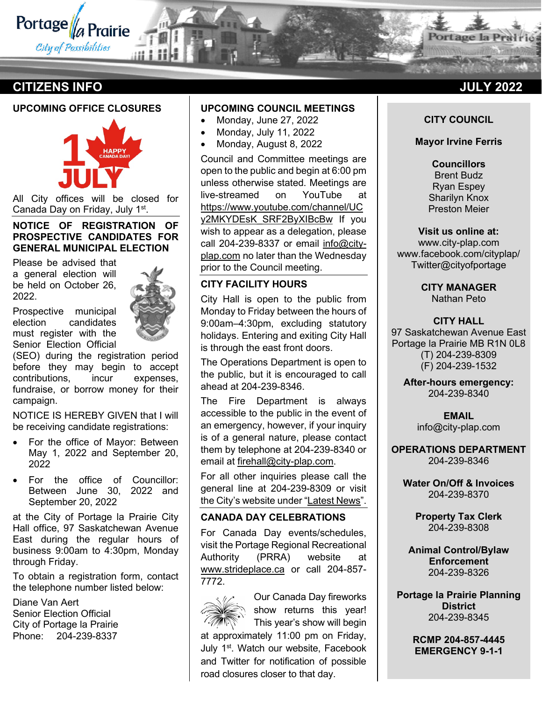

# **CITIZENS INFO JULY 2022**

#### **UPCOMING OFFICE CLOSURES**



All City offices will be closed for Canada Day on Friday, July 1st.

#### **NOTICE OF REGISTRATION OF PROSPECTIVE CANDIDATES FOR GENERAL MUNICIPAL ELECTION**

Please be advised that a general election will be held on October 26, 2022.

Prospective municipal election candidates must register with the Senior Election Official



(SEO) during the registration period before they may begin to accept contributions, incur expenses, fundraise, or borrow money for their campaign.

NOTICE IS HEREBY GIVEN that I will be receiving candidate registrations:

- For the office of Mayor: Between May 1, 2022 and September 20, 2022
- For the office of Councillor: Between June 30, 2022 and September 20, 2022

at the City of Portage la Prairie City Hall office, 97 Saskatchewan Avenue East during the regular hours of business 9:00am to 4:30pm, Monday through Friday.

To obtain a registration form, contact the telephone number listed below:

Diane Van Aert Senior Election Official City of Portage la Prairie Phone: 204-239-8337

# **UPCOMING COUNCIL MEETINGS**

- Monday, June 27, 2022
- Monday, July 11, 2022
- Monday, August 8, 2022

Council and Committee meetings are open to the public and begin at 6:00 pm unless otherwise stated. Meetings are live-streamed on YouTube at [https://www.youtube.com/channel/UC](https://www.youtube.com/channel/UCy2MKYDEsK_SRF2ByXIBcBw) [y2MKYDEsK\\_SRF2ByXIBcBw](https://www.youtube.com/channel/UCy2MKYDEsK_SRF2ByXIBcBw) If you wish to appear as a delegation, please call 204-239-8337 or email [info@city](mailto:info@city-plap.com)[plap.com](mailto:info@city-plap.com) no later than the Wednesday prior to the Council meeting.

# **CITY FACILITY HOURS**

City Hall is open to the public from Monday to Friday between the hours of 9:00am–4:30pm, excluding statutory holidays. Entering and exiting City Hall is through the east front doors.

The Operations Department is open to the public, but it is encouraged to call ahead at 204-239-8346.

The Fire Department is always accessible to the public in the event of an emergency, however, if your inquiry is of a general nature, please contact them by telephone at 204-239-8340 or email at [firehall@city-plap.com.](mailto:firehall@city-plap.com)

For all other inquiries please call the general line at 204-239-8309 or visit the City's website under ["Latest News"](https://www.city-plap.com/cityplap/city-hall/latest-news/).

### **CANADA DAY CELEBRATIONS**

For Canada Day events/schedules, visit the Portage Regional Recreational Authority (PRRA) website at [www.strideplace.ca](http://www.strideplace.ca/) or call 204-857- 7772.



Our Canada Day fireworks show returns this year! This year's show will begin

at approximately 11:00 pm on Friday, July 1<sup>st</sup>. Watch our website, Facebook and Twitter for notification of possible road closures closer to that day.

**Portage** la Pra

#### **CITY COUNCIL**

#### **Mayor Irvine Ferris**

**Councillors** Brent Budz Ryan Espey Sharilyn Knox Preston Meier

**Visit us online at:** www.city-plap.com www.facebook.com/cityplap/ Twitter@cityofportage

> **CITY MANAGER** Nathan Peto

**CITY HALL** 97 Saskatchewan Avenue East Portage la Prairie MB R1N 0L8 (T) 204-239-8309 (F) 204-239-1532

**After-hours emergency:** 204-239-8340

> **EMAIL** info@city-plap.com

**OPERATIONS DEPARTMENT** 204-239-8346

**Water On/Off & Invoices** 204-239-8370

> **Property Tax Clerk** 204-239-8308

**Animal Control/Bylaw Enforcement** 204-239-8326

**Portage la Prairie Planning District** 204-239-8345

> **RCMP 204-857-4445 EMERGENCY 9-1-1**